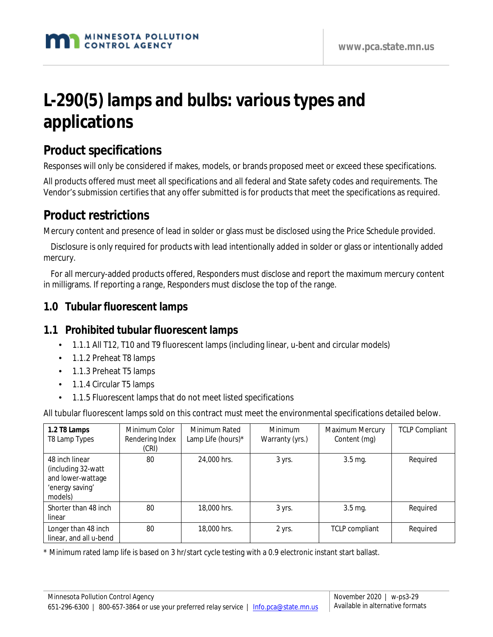# **L-290(5) lamps and bulbs: various types and applications**

# **Product specifications**

Responses will only be considered if makes, models, or brands proposed meet or exceed these specifications.

All products offered must meet all specifications and all federal and State safety codes and requirements. The Vendor's submission certifies that any offer submitted is for products that meet the specifications as required.

# **Product restrictions**

Mercury content and presence of lead in solder or glass must be disclosed using the Price Schedule provided.

Disclosure is only required for products with lead intentionally added in solder or glass or intentionally added mercury.

 $\ddot{y}$  For all mercury-added products offered, Responders must disclose and report the maximum mercury content in milligrams. If reporting a range, Responders must disclose the top of the range.

#### **1.0 Tubular fluorescent lamps**

#### **1.1 Prohibited tubular fluorescent lamps**

- 1.1.1 All T12, T10 and T9 fluorescent lamps (including linear, u-bent and circular models) ¥.
- 1.1.2 Preheat T8 lamps
- 1.1.3 Preheat T5 lamps
- 1.1.4 Circular T5 lamps
- 1.1.5 Fluorescent lamps that do not meet listed specifications

All tubular fluorescent lamps sold on this contract must meet the environmental specifications detailed below.

| 1.2 T8 Lamps<br>T8 Lamp Types                                                           | Minimum Color<br>Rendering Index<br>(CRI) | Minimum Rated<br>Lamp Life (hours)* | <b>Minimum</b><br>Warranty (yrs.) | Maximum Mercury<br>Content (mg) | <b>TCLP Compliant</b> |
|-----------------------------------------------------------------------------------------|-------------------------------------------|-------------------------------------|-----------------------------------|---------------------------------|-----------------------|
| 48 inch linear<br>(including 32-watt<br>and lower-wattage<br>'energy saving'<br>models) | 80                                        | 24,000 hrs.                         | 3 yrs.                            | 3.5 mg.                         | Required              |
| Shorter than 48 inch<br>linear                                                          | 80                                        | 18,000 hrs.                         | 3 yrs.                            | $3.5$ mg.                       | Required              |
| Longer than 48 inch<br>linear, and all u-bend                                           | 80                                        | 18,000 hrs.                         | 2 yrs.                            | <b>TCLP</b> compliant           | Required              |

\* Minimum rated lamp life is based on 3 hr/start cycle testing with a 0.9 electronic instant start ballast.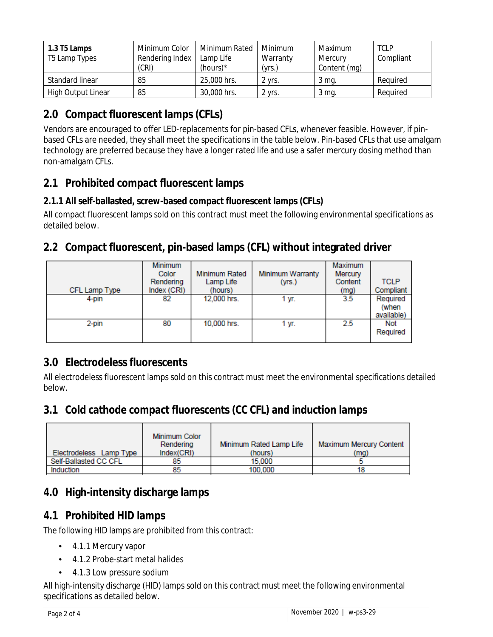| 1.3 T5 Lamps<br>T5 Lamp Types | Minimum Color<br>Rendering Index<br>(CRI) | Minimum Rated<br>Lamp Life<br>(hours) $*$ | Minimum<br>Warranty<br>(yrs.) | Maximum<br>Mercury<br>Content (mg) | <b>TCLP</b><br>Compliant |
|-------------------------------|-------------------------------------------|-------------------------------------------|-------------------------------|------------------------------------|--------------------------|
| Standard linear               | 85                                        | 25,000 hrs.                               | 2 yrs.                        | 3 mg.                              | Reguired                 |
| <b>High Output Linear</b>     | 85                                        | 30,000 hrs.                               | ' vrs.                        | 3 mg.                              | Reguired                 |

# **2.0 Compact fluorescent lamps (CFLs)**

Vendors are encouraged to offer LED-replacements for pin-based CFLs, whenever feasible. However, if pinbased CFLs are needed, they shall meet the specifications in the table below. Pin-based CFLs that use amalgam technology are preferred because they have a longer rated life and use a safer mercury dosing method than non-amalgam CFLs.

# **2.1 Prohibited compact fluorescent lamps**

#### **2.1.1 All self-ballasted, screw-based compact fluorescent lamps (CFLs)**

All compact fluorescent lamps sold on this contract must meet the following environmental specifications as detailed below.

# **2.2 Compact fluorescent, pin-based lamps (CFL) without integrated driver**

| CFL Lamp Type | Minimum<br>Color<br>Rendering<br>Index (CRI) | <b>Minimum Rated</b><br>Lamp Life<br>(hours) | <b>Minimum Warranty</b><br>(yrs.) | <b>Maximum</b><br>Mercury<br>Content<br>(mg) | <b>TCLP</b><br>Compliant |
|---------------|----------------------------------------------|----------------------------------------------|-----------------------------------|----------------------------------------------|--------------------------|
| 4-pin         | 82                                           | 12,000 hrs.                                  | 1 уг.                             | 3.5                                          | Required                 |
|               |                                              |                                              |                                   |                                              | (when<br>available)      |
| 2-pin         | 80                                           | 10,000 hrs.                                  | 1 yr.                             | 2.5                                          | <b>Not</b>               |
|               |                                              |                                              |                                   |                                              | Required                 |

#### **3.0 Electrodeless fluorescents**

All electrodeless fluorescent lamps sold on this contract must meet the environmental specifications detailed below.

#### **3.1 Cold cathode compact fluorescents (CC CFL) and induction lamps**

|                         | Minimum Color<br>Rendering | Minimum Rated Lamp Life | <b>Maximum Mercury Content</b> |
|-------------------------|----------------------------|-------------------------|--------------------------------|
| Electrodeless Lamp Type | Index(CRI)                 | (hours)                 | (ma)                           |
| Self-Ballasted CC CFL   | 85                         | 15.000                  |                                |
| Induction               | 85                         | 100,000                 |                                |

# **4.0 High-intensity discharge lamps**

# **4.1 Prohibited HID lamps**

The following HID lamps are prohibited from this contract:

- 4.1.1 Mercury vapor
- 4.1.2 Probe-start metal halides
- 4.1.3 Low pressure sodium

All high-intensity discharge (HID) lamps sold on this contract must meet the following environmental specifications as detailed below.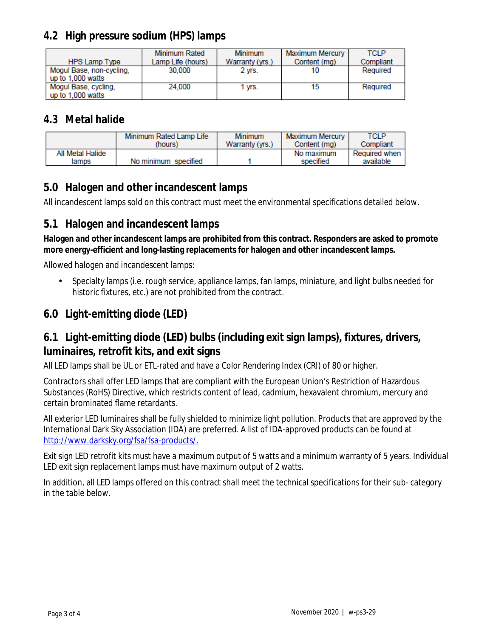# **4.2 High pressure sodium (HPS) lamps**

|                          | Minimum Rated     | <b>Minimum</b>  | Maximum Mercury | <b>TCLP</b> |
|--------------------------|-------------------|-----------------|-----------------|-------------|
| <b>HPS Lamp Type</b>     | Lamp Life (hours) | Warranty (yrs.) | Content (ma)    | Compliant   |
| Mogul Base, non-cycling, | 30,000            | 2 vrs.          | 10              | Required    |
| up to 1,000 watts        |                   |                 |                 |             |
| Mogul Base, cycling,     | 24.000            | 1 vrs.          | 15              | Required    |
| up to 1,000 watts        |                   |                 |                 |             |

#### **4.3 Metal halide**

|                           | Minimum Rated Lamp Life | <b>Minimum</b>  | Maximum Mercury         | TCLP                         |
|---------------------------|-------------------------|-----------------|-------------------------|------------------------------|
|                           | (hours)                 | Warranty (yrs.) | Content (ma)            | Compliant                    |
| All Metal Halide<br>lamps | No minimum specified    |                 | No maximum<br>specified | Required when I<br>available |

# **5.0 Halogen and other incandescent lamps**

All incandescent lamps sold on this contract must meet the environmental specifications detailed below.

#### **5.1 Halogen and incandescent lamps**

**Halogen and other incandescent lamps are prohibited from this contract. Responders are asked to promote more energy-efficient and long-lasting replacements for halogen and other incandescent lamps.** 

Allowed halogen and incandescent lamps:

Specialty lamps (i.e. rough service, appliance lamps, fan lamps, miniature, and light bulbs needed for historic fixtures, etc.) are not prohibited from the contract.

# **6.0 Light-emitting diode (LED)**

# **6.1 Light-emitting diode (LED) bulbs (including exit sign lamps), fixtures, drivers, luminaires, retrofit kits, and exit signs**

All LED lamps shall be UL or ETL-rated and have a Color Rendering Index (CRI) of 80 or higher.

Contractors shall offer LED lamps that are compliant with the European Union's Restriction of Hazardous Substances (RoHS) Directive, which restricts content of lead, cadmium, hexavalent chromium, mercury and certain brominated flame retardants.

All exterior LED luminaires shall be fully shielded to minimize light pollution. Products that are approved by the International Dark Sky Association (IDA) are preferred. A list of IDA-approved products can be found at http://www.darksky.org/fsa/fsa-products/.

Exit sign LED retrofit kits must have a maximum output of 5 watts and a minimum warranty of 5 years. Individual LED exit sign replacement lamps must have maximum output of 2 watts.

In addition, all LED lamps offered on this contract shall meet the technical specifications for their sub- category in the table below.